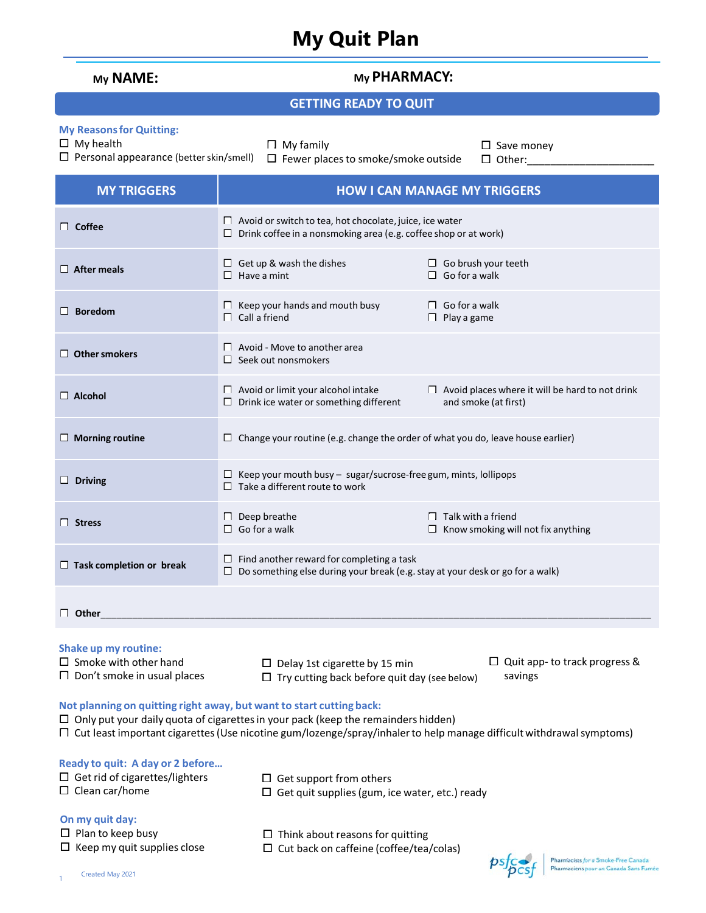## **My Quit Plan**

| My NAME:                                                                                                                                                                                                                                                                                        | My PHARMACY:                                                                                                                                                                 |  |  |  |  |  |
|-------------------------------------------------------------------------------------------------------------------------------------------------------------------------------------------------------------------------------------------------------------------------------------------------|------------------------------------------------------------------------------------------------------------------------------------------------------------------------------|--|--|--|--|--|
| <b>GETTING READY TO QUIT</b>                                                                                                                                                                                                                                                                    |                                                                                                                                                                              |  |  |  |  |  |
| <b>My Reasons for Quitting:</b><br>$\Box$ My health<br>$\Box$ Personal appearance (better skin/smell)                                                                                                                                                                                           | $\Box$ My family<br>$\Box$ Save money<br>$\Box$ Fewer places to smoke/smoke outside<br>$\Box$ Other:                                                                         |  |  |  |  |  |
| <b>MY TRIGGERS</b>                                                                                                                                                                                                                                                                              | <b>HOW I CAN MANAGE MY TRIGGERS</b>                                                                                                                                          |  |  |  |  |  |
| $\Box$ Coffee                                                                                                                                                                                                                                                                                   | $\Box$ Avoid or switch to tea, hot chocolate, juice, ice water<br>$\Box$ Drink coffee in a nonsmoking area (e.g. coffee shop or at work)                                     |  |  |  |  |  |
| $\Box$ After meals                                                                                                                                                                                                                                                                              | $\Box$ Get up & wash the dishes<br>$\Box$ Go brush your teeth<br>$\Box$ Go for a walk<br>$\Box$ Have a mint                                                                  |  |  |  |  |  |
| $\Box$ Boredom                                                                                                                                                                                                                                                                                  | $\Box$ Keep your hands and mouth busy<br>$\Box$ Go for a walk<br>$\Box$ Call a friend<br>$\Box$ Play a game                                                                  |  |  |  |  |  |
| $\Box$ Other smokers                                                                                                                                                                                                                                                                            | $\Box$ Avoid - Move to another area<br>$\Box$ Seek out nonsmokers                                                                                                            |  |  |  |  |  |
| $\Box$ Alcohol                                                                                                                                                                                                                                                                                  | $\Box$ Avoid or limit your alcohol intake<br>$\Box$ Avoid places where it will be hard to not drink<br>$\Box$ Drink ice water or something different<br>and smoke (at first) |  |  |  |  |  |
| $\Box$ Morning routine                                                                                                                                                                                                                                                                          | $\Box$ Change your routine (e.g. change the order of what you do, leave house earlier)                                                                                       |  |  |  |  |  |
| $\Box$ Driving                                                                                                                                                                                                                                                                                  | $\Box$ Keep your mouth busy - sugar/sucrose-free gum, mints, lollipops<br>$\Box$ Take a different route to work                                                              |  |  |  |  |  |
| $\Box$ Stress                                                                                                                                                                                                                                                                                   | $\Box$ Talk with a friend<br>$\Box$ Deep breathe<br>$\Box$ Go for a walk<br>$\Box$ Know smoking will not fix anything                                                        |  |  |  |  |  |
| $\Box$ Task completion or break                                                                                                                                                                                                                                                                 | $\Box$ Find another reward for completing a task<br>Do something else during your break (e.g. stay at your desk or go for a walk)                                            |  |  |  |  |  |
| $\Box$ Other                                                                                                                                                                                                                                                                                    |                                                                                                                                                                              |  |  |  |  |  |
| <b>Shake up my routine:</b><br>$\Box$ Smoke with other hand<br>$\Box$ Quit app- to track progress &<br>$\Box$ Delay 1st cigarette by 15 min<br>$\Box$ Don't smoke in usual places<br>savings<br>$\Box$ Try cutting back before quit day (see below)                                             |                                                                                                                                                                              |  |  |  |  |  |
| Not planning on quitting right away, but want to start cutting back:<br>$\Box$ Only put your daily quota of cigarettes in your pack (keep the remainders hidden)<br>$\Box$ Cut least important cigarettes (Use nicotine gum/lozenge/spray/inhaler to help manage difficult withdrawal symptoms) |                                                                                                                                                                              |  |  |  |  |  |
| Ready to quit: A day or 2 before<br>$\Box$ Get rid of cigarettes/lighters<br>$\Box$ Clean car/home                                                                                                                                                                                              | $\Box$ Get support from others<br>$\Box$ Get quit supplies (gum, ice water, etc.) ready                                                                                      |  |  |  |  |  |
| On my quit day:<br>$\Box$ Plan to keep busy<br>$\Box$ Keep my quit supplies close                                                                                                                                                                                                               | $\Box$ Think about reasons for quitting<br>$\Box$ Cut back on caffeine (coffee/tea/colas)                                                                                    |  |  |  |  |  |